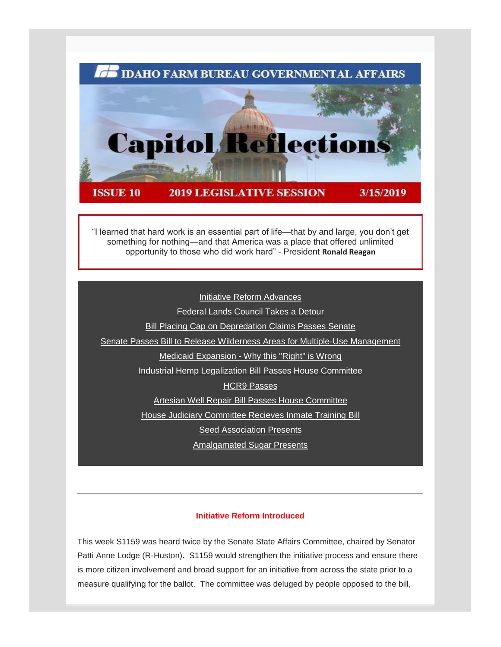

"I learned that hard work is an essential part of life—that by and large, you don't get something for nothing—and that America was a place that offered unlimited opportunity to those who did work hard" - President **Ronald Reagan**

[Initiative Reform Advances](#page-0-0) [Federal Lands Council Takes a Detour](#page-1-0) **[Bill Placing Cap on Depredation Claims Passes Senate](#page-3-0)** [Senate Passes Bill to Release Wilderness Areas for Multiple-Use Management](#page-3-1) Medicaid Expansion - [Why this "Right" is Wrong](#page-4-0) [Industrial Hemp Legalization Bill Passes House Committee](#page-7-0) [HCR9 Passes](#page-8-0) [Artesian Well Repair Bill Passes House Committee](#page-8-1) [House Judiciary Committee Recieves Inmate Training Bill](#page-8-2) **[Seed Association Presents](#page-9-0)** [Amalgamated Sugar Presents](#page-10-0)

# **Initiative Reform Introduced**

<span id="page-0-1"></span><span id="page-0-0"></span>This week S1159 was heard twice by the Senate State Affairs Committee, chaired by Senator Patti Anne Lodge (R-Huston). S1159 would strengthen the initiative process and ensure there is more citizen involvement and broad support for an initiative from across the state prior to a measure qualifying for the ballot. The committee was deluged by people opposed to the bill,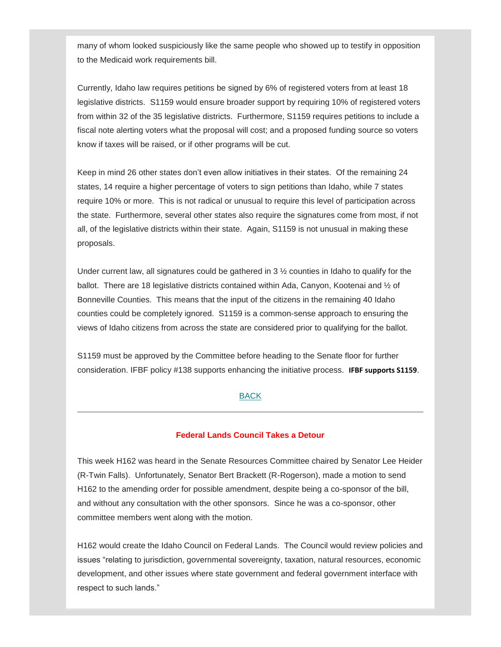many of whom looked suspiciously like the same people who showed up to testify in opposition to the Medicaid work requirements bill.

Currently, Idaho law requires petitions be signed by 6% of registered voters from at least 18 legislative districts. S1159 would ensure broader support by requiring 10% of registered voters from within 32 of the 35 legislative districts. Furthermore, S1159 requires petitions to include a fiscal note alerting voters what the proposal will cost; and a proposed funding source so voters know if taxes will be raised, or if other programs will be cut.

Keep in mind 26 other states don't even allow initiatives in their states. Of the remaining 24 states, 14 require a higher percentage of voters to sign petitions than Idaho, while 7 states require 10% or more. This is not radical or unusual to require this level of participation across the state. Furthermore, several other states also require the signatures come from most, if not all, of the legislative districts within their state. Again, S1159 is not unusual in making these proposals.

Under current law, all signatures could be gathered in 3 ½ counties in Idaho to qualify for the ballot. There are 18 legislative districts contained within Ada, Canyon, Kootenai and ½ of Bonneville Counties. This means that the input of the citizens in the remaining 40 Idaho counties could be completely ignored. S1159 is a common-sense approach to ensuring the views of Idaho citizens from across the state are considered prior to qualifying for the ballot.

S1159 must be approved by the Committee before heading to the Senate floor for further consideration. IFBF policy #138 supports enhancing the initiative process. **IFBF supports S1159**.

# [BACK](#page-0-1)

#### **Federal Lands Council Takes a Detour**

<span id="page-1-0"></span>This week H162 was heard in the Senate Resources Committee chaired by Senator Lee Heider (R-Twin Falls). Unfortunately, Senator Bert Brackett (R-Rogerson), made a motion to send H162 to the amending order for possible amendment, despite being a co-sponsor of the bill, and without any consultation with the other sponsors. Since he was a co-sponsor, other committee members went along with the motion.

H162 would create the Idaho Council on Federal Lands. The Council would review policies and issues "relating to jurisdiction, governmental sovereignty, taxation, natural resources, economic development, and other issues where state government and federal government interface with respect to such lands."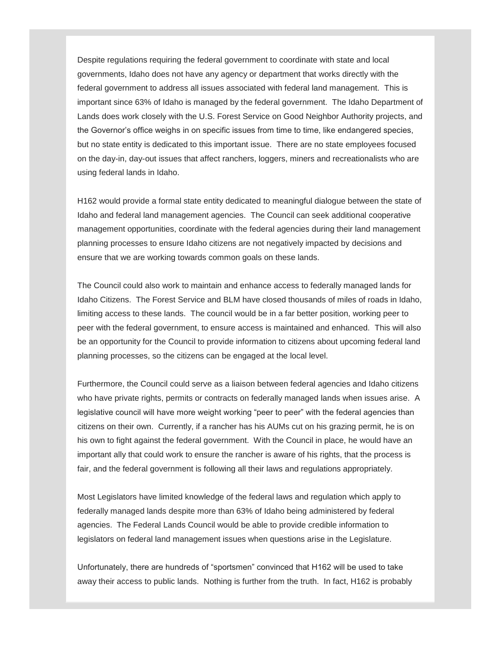Despite regulations requiring the federal government to coordinate with state and local governments, Idaho does not have any agency or department that works directly with the federal government to address all issues associated with federal land management. This is important since 63% of Idaho is managed by the federal government. The Idaho Department of Lands does work closely with the U.S. Forest Service on Good Neighbor Authority projects, and the Governor's office weighs in on specific issues from time to time, like endangered species, but no state entity is dedicated to this important issue. There are no state employees focused on the day-in, day-out issues that affect ranchers, loggers, miners and recreationalists who are using federal lands in Idaho.

H162 would provide a formal state entity dedicated to meaningful dialogue between the state of Idaho and federal land management agencies. The Council can seek additional cooperative management opportunities, coordinate with the federal agencies during their land management planning processes to ensure Idaho citizens are not negatively impacted by decisions and ensure that we are working towards common goals on these lands.

The Council could also work to maintain and enhance access to federally managed lands for Idaho Citizens. The Forest Service and BLM have closed thousands of miles of roads in Idaho, limiting access to these lands. The council would be in a far better position, working peer to peer with the federal government, to ensure access is maintained and enhanced. This will also be an opportunity for the Council to provide information to citizens about upcoming federal land planning processes, so the citizens can be engaged at the local level.

Furthermore, the Council could serve as a liaison between federal agencies and Idaho citizens who have private rights, permits or contracts on federally managed lands when issues arise. A legislative council will have more weight working "peer to peer" with the federal agencies than citizens on their own. Currently, if a rancher has his AUMs cut on his grazing permit, he is on his own to fight against the federal government. With the Council in place, he would have an important ally that could work to ensure the rancher is aware of his rights, that the process is fair, and the federal government is following all their laws and regulations appropriately.

Most Legislators have limited knowledge of the federal laws and regulation which apply to federally managed lands despite more than 63% of Idaho being administered by federal agencies. The Federal Lands Council would be able to provide credible information to legislators on federal land management issues when questions arise in the Legislature.

Unfortunately, there are hundreds of "sportsmen" convinced that H162 will be used to take away their access to public lands. Nothing is further from the truth. In fact, H162 is probably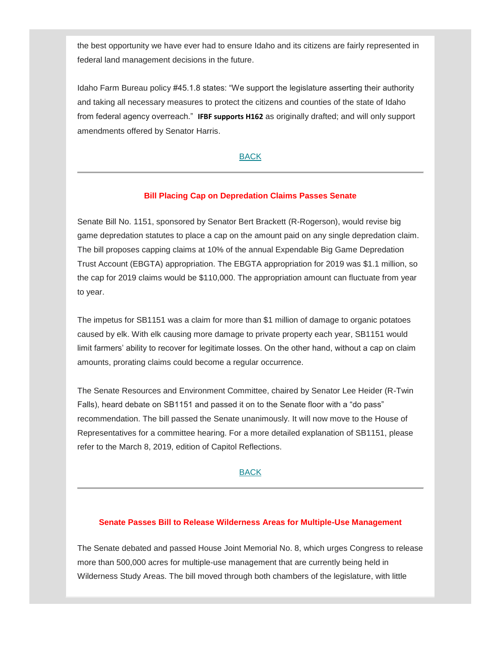the best opportunity we have ever had to ensure Idaho and its citizens are fairly represented in federal land management decisions in the future.

Idaho Farm Bureau policy #45.1.8 states: "We support the legislature asserting their authority and taking all necessary measures to protect the citizens and counties of the state of Idaho from federal agency overreach." **IFBF supports H162** as originally drafted; and will only support amendments offered by Senator Harris.

# [BACK](#page-0-1)

#### **Bill Placing Cap on Depredation Claims Passes Senate**

<span id="page-3-0"></span>Senate Bill No. 1151, sponsored by Senator Bert Brackett (R-Rogerson), would revise big game depredation statutes to place a cap on the amount paid on any single depredation claim. The bill proposes capping claims at 10% of the annual Expendable Big Game Depredation Trust Account (EBGTA) appropriation. The EBGTA appropriation for 2019 was \$1.1 million, so the cap for 2019 claims would be \$110,000. The appropriation amount can fluctuate from year to year.

The impetus for SB1151 was a claim for more than \$1 million of damage to organic potatoes caused by elk. With elk causing more damage to private property each year, SB1151 would limit farmers' ability to recover for legitimate losses. On the other hand, without a cap on claim amounts, prorating claims could become a regular occurrence.

The Senate Resources and Environment Committee, chaired by Senator Lee Heider (R-Twin Falls), heard debate on SB1151 and passed it on to the Senate floor with a "do pass" recommendation. The bill passed the Senate unanimously. It will now move to the House of Representatives for a committee hearing. For a more detailed explanation of SB1151, please refer to the March 8, 2019, edition of Capitol Reflections.

# [BACK](#page-0-1)

#### <span id="page-3-1"></span>**Senate Passes Bill to Release Wilderness Areas for Multiple-Use Management**

The Senate debated and passed House Joint Memorial No. 8, which urges Congress to release more than 500,000 acres for multiple-use management that are currently being held in Wilderness Study Areas. The bill moved through both chambers of the legislature, with little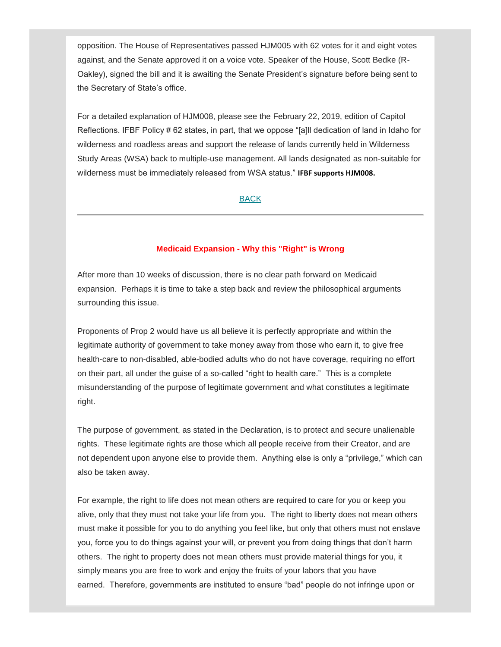opposition. The House of Representatives passed HJM005 with 62 votes for it and eight votes against, and the Senate approved it on a voice vote. Speaker of the House, Scott Bedke (R-Oakley), signed the bill and it is awaiting the Senate President's signature before being sent to the Secretary of State's office.

For a detailed explanation of HJM008, please see the February 22, 2019, edition of Capitol Reflections. IFBF Policy # 62 states, in part, that we oppose "[a]ll dedication of land in Idaho for wilderness and roadless areas and support the release of lands currently held in Wilderness Study Areas (WSA) back to multiple-use management. All lands designated as non-suitable for wilderness must be immediately released from WSA status." **IFBF supports HJM008.**

# [BACK](#page-0-1)

# **Medicaid Expansion - Why this "Right" is Wrong**

<span id="page-4-0"></span>After more than 10 weeks of discussion, there is no clear path forward on Medicaid expansion. Perhaps it is time to take a step back and review the philosophical arguments surrounding this issue.

Proponents of Prop 2 would have us all believe it is perfectly appropriate and within the legitimate authority of government to take money away from those who earn it, to give free health-care to non-disabled, able-bodied adults who do not have coverage, requiring no effort on their part, all under the guise of a so-called "right to health care." This is a complete misunderstanding of the purpose of legitimate government and what constitutes a legitimate right.

The purpose of government, as stated in the Declaration, is to protect and secure unalienable rights. These legitimate rights are those which all people receive from their Creator, and are not dependent upon anyone else to provide them. Anything else is only a "privilege," which can also be taken away.

For example, the right to life does not mean others are required to care for you or keep you alive, only that they must not take your life from you. The right to liberty does not mean others must make it possible for you to do anything you feel like, but only that others must not enslave you, force you to do things against your will, or prevent you from doing things that don't harm others. The right to property does not mean others must provide material things for you, it simply means you are free to work and enjoy the fruits of your labors that you have earned. Therefore, governments are instituted to ensure "bad" people do not infringe upon or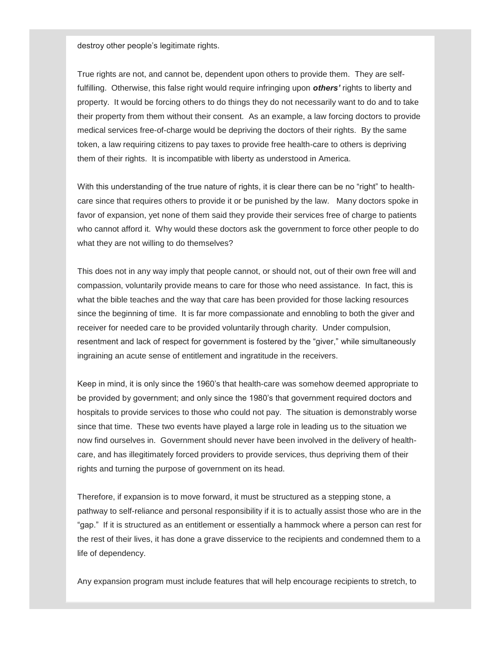destroy other people's legitimate rights.

True rights are not, and cannot be, dependent upon others to provide them. They are selffulfilling. Otherwise, this false right would require infringing upon *others'* rights to liberty and property. It would be forcing others to do things they do not necessarily want to do and to take their property from them without their consent. As an example, a law forcing doctors to provide medical services free-of-charge would be depriving the doctors of their rights. By the same token, a law requiring citizens to pay taxes to provide free health-care to others is depriving them of their rights. It is incompatible with liberty as understood in America.

With this understanding of the true nature of rights, it is clear there can be no "right" to healthcare since that requires others to provide it or be punished by the law. Many doctors spoke in favor of expansion, yet none of them said they provide their services free of charge to patients who cannot afford it. Why would these doctors ask the government to force other people to do what they are not willing to do themselves?

This does not in any way imply that people cannot, or should not, out of their own free will and compassion, voluntarily provide means to care for those who need assistance. In fact, this is what the bible teaches and the way that care has been provided for those lacking resources since the beginning of time. It is far more compassionate and ennobling to both the giver and receiver for needed care to be provided voluntarily through charity. Under compulsion, resentment and lack of respect for government is fostered by the "giver," while simultaneously ingraining an acute sense of entitlement and ingratitude in the receivers.

Keep in mind, it is only since the 1960's that health-care was somehow deemed appropriate to be provided by government; and only since the 1980's that government required doctors and hospitals to provide services to those who could not pay. The situation is demonstrably worse since that time. These two events have played a large role in leading us to the situation we now find ourselves in. Government should never have been involved in the delivery of healthcare, and has illegitimately forced providers to provide services, thus depriving them of their rights and turning the purpose of government on its head.

Therefore, if expansion is to move forward, it must be structured as a stepping stone, a pathway to self-reliance and personal responsibility if it is to actually assist those who are in the "gap." If it is structured as an entitlement or essentially a hammock where a person can rest for the rest of their lives, it has done a grave disservice to the recipients and condemned them to a life of dependency.

Any expansion program must include features that will help encourage recipients to stretch, to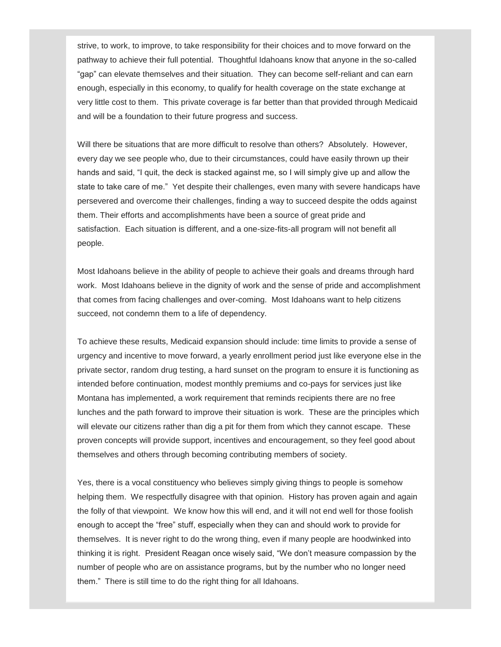strive, to work, to improve, to take responsibility for their choices and to move forward on the pathway to achieve their full potential. Thoughtful Idahoans know that anyone in the so-called "gap" can elevate themselves and their situation. They can become self-reliant and can earn enough, especially in this economy, to qualify for health coverage on the state exchange at very little cost to them. This private coverage is far better than that provided through Medicaid and will be a foundation to their future progress and success.

Will there be situations that are more difficult to resolve than others? Absolutely. However, every day we see people who, due to their circumstances, could have easily thrown up their hands and said, "I quit, the deck is stacked against me, so I will simply give up and allow the state to take care of me." Yet despite their challenges, even many with severe handicaps have persevered and overcome their challenges, finding a way to succeed despite the odds against them. Their efforts and accomplishments have been a source of great pride and satisfaction. Each situation is different, and a one-size-fits-all program will not benefit all people.

Most Idahoans believe in the ability of people to achieve their goals and dreams through hard work. Most Idahoans believe in the dignity of work and the sense of pride and accomplishment that comes from facing challenges and over-coming. Most Idahoans want to help citizens succeed, not condemn them to a life of dependency.

To achieve these results, Medicaid expansion should include: time limits to provide a sense of urgency and incentive to move forward, a yearly enrollment period just like everyone else in the private sector, random drug testing, a hard sunset on the program to ensure it is functioning as intended before continuation, modest monthly premiums and co-pays for services just like Montana has implemented, a work requirement that reminds recipients there are no free lunches and the path forward to improve their situation is work. These are the principles which will elevate our citizens rather than dig a pit for them from which they cannot escape. These proven concepts will provide support, incentives and encouragement, so they feel good about themselves and others through becoming contributing members of society.

Yes, there is a vocal constituency who believes simply giving things to people is somehow helping them. We respectfully disagree with that opinion. History has proven again and again the folly of that viewpoint. We know how this will end, and it will not end well for those foolish enough to accept the "free" stuff, especially when they can and should work to provide for themselves. It is never right to do the wrong thing, even if many people are hoodwinked into thinking it is right. President Reagan once wisely said, "We don't measure compassion by the number of people who are on assistance programs, but by the number who no longer need them." There is still time to do the right thing for all Idahoans.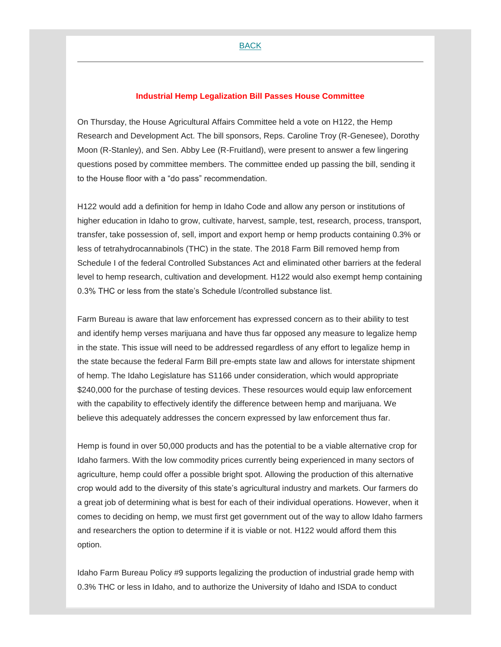#### **Industrial Hemp Legalization Bill Passes House Committee**

<span id="page-7-0"></span>On Thursday, the House Agricultural Affairs Committee held a vote on H122, the Hemp Research and Development Act. The bill sponsors, Reps. Caroline Troy (R-Genesee), Dorothy Moon (R-Stanley), and Sen. Abby Lee (R-Fruitland), were present to answer a few lingering questions posed by committee members. The committee ended up passing the bill, sending it to the House floor with a "do pass" recommendation.

H122 would add a definition for hemp in Idaho Code and allow any person or institutions of higher education in Idaho to grow, cultivate, harvest, sample, test, research, process, transport, transfer, take possession of, sell, import and export hemp or hemp products containing 0.3% or less of tetrahydrocannabinols (THC) in the state. The 2018 Farm Bill removed hemp from Schedule I of the federal Controlled Substances Act and eliminated other barriers at the federal level to hemp research, cultivation and development. H122 would also exempt hemp containing 0.3% THC or less from the state's Schedule I/controlled substance list.

Farm Bureau is aware that law enforcement has expressed concern as to their ability to test and identify hemp verses marijuana and have thus far opposed any measure to legalize hemp in the state. This issue will need to be addressed regardless of any effort to legalize hemp in the state because the federal Farm Bill pre-empts state law and allows for interstate shipment of hemp. The Idaho Legislature has S1166 under consideration, which would appropriate \$240,000 for the purchase of testing devices. These resources would equip law enforcement with the capability to effectively identify the difference between hemp and marijuana. We believe this adequately addresses the concern expressed by law enforcement thus far.

Hemp is found in over 50,000 products and has the potential to be a viable alternative crop for Idaho farmers. With the low commodity prices currently being experienced in many sectors of agriculture, hemp could offer a possible bright spot. Allowing the production of this alternative crop would add to the diversity of this state's agricultural industry and markets. Our farmers do a great job of determining what is best for each of their individual operations. However, when it comes to deciding on hemp, we must first get government out of the way to allow Idaho farmers and researchers the option to determine if it is viable or not. H122 would afford them this option.

Idaho Farm Bureau Policy #9 supports legalizing the production of industrial grade hemp with 0.3% THC or less in Idaho, and to authorize the University of Idaho and ISDA to conduct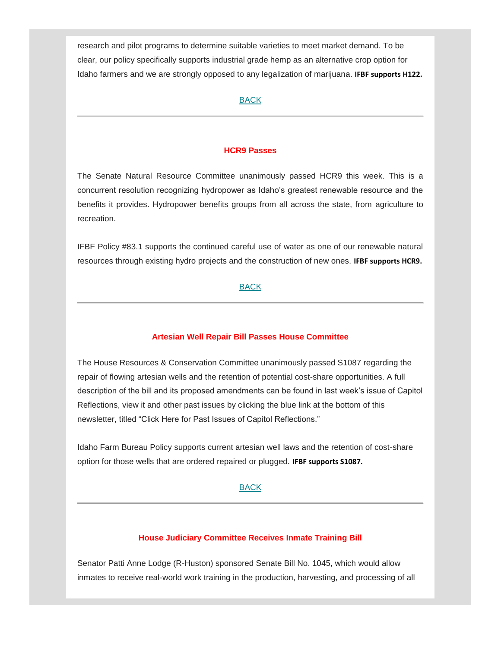research and pilot programs to determine suitable varieties to meet market demand. To be clear, our policy specifically supports industrial grade hemp as an alternative crop option for Idaho farmers and we are strongly opposed to any legalization of marijuana. **IFBF supports H122.**

# [BACK](#page-0-1)

#### **HCR9 Passes**

<span id="page-8-0"></span>The Senate Natural Resource Committee unanimously passed HCR9 this week. This is a concurrent resolution recognizing hydropower as Idaho's greatest renewable resource and the benefits it provides. Hydropower benefits groups from all across the state, from agriculture to recreation.

IFBF Policy #83.1 supports the continued careful use of water as one of our renewable natural resources through existing hydro projects and the construction of new ones. **IFBF supports HCR9.**

# [BACK](#page-0-1)

#### **Artesian Well Repair Bill Passes House Committee**

<span id="page-8-1"></span>The House Resources & Conservation Committee unanimously passed S1087 regarding the repair of flowing artesian wells and the retention of potential cost-share opportunities. A full description of the bill and its proposed amendments can be found in last week's issue of Capitol Reflections, view it and other past issues by clicking the blue link at the bottom of this newsletter, titled "Click Here for Past Issues of Capitol Reflections."

Idaho Farm Bureau Policy supports current artesian well laws and the retention of cost-share option for those wells that are ordered repaired or plugged. **IFBF supports S1087.**

#### [BACK](#page-0-1)

#### **House Judiciary Committee Receives Inmate Training Bill**

<span id="page-8-2"></span>Senator Patti Anne Lodge (R-Huston) sponsored Senate Bill No. 1045, which would allow inmates to receive real-world work training in the production, harvesting, and processing of all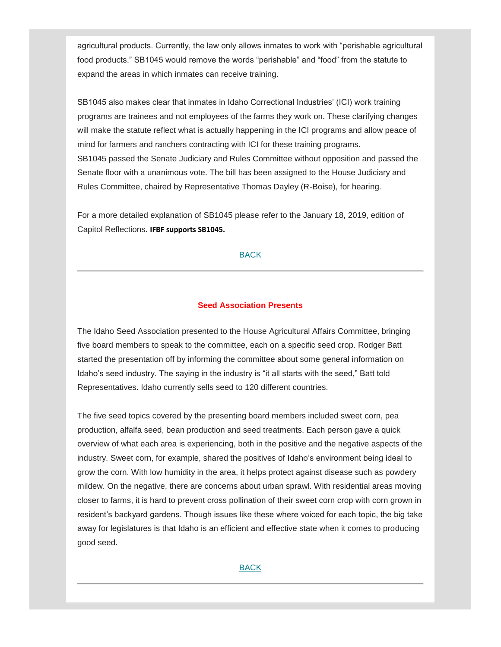agricultural products. Currently, the law only allows inmates to work with "perishable agricultural food products." SB1045 would remove the words "perishable" and "food" from the statute to expand the areas in which inmates can receive training.

SB1045 also makes clear that inmates in Idaho Correctional Industries' (ICI) work training programs are trainees and not employees of the farms they work on. These clarifying changes will make the statute reflect what is actually happening in the ICI programs and allow peace of mind for farmers and ranchers contracting with ICI for these training programs. SB1045 passed the Senate Judiciary and Rules Committee without opposition and passed the Senate floor with a unanimous vote. The bill has been assigned to the House Judiciary and Rules Committee, chaired by Representative Thomas Dayley (R-Boise), for hearing.

For a more detailed explanation of SB1045 please refer to the January 18, 2019, edition of Capitol Reflections. **IFBF supports SB1045.**

# [BACK](#page-0-1)

# **Seed Association Presents**

<span id="page-9-0"></span>The Idaho Seed Association presented to the House Agricultural Affairs Committee, bringing five board members to speak to the committee, each on a specific seed crop. Rodger Batt started the presentation off by informing the committee about some general information on Idaho's seed industry. The saying in the industry is "it all starts with the seed," Batt told Representatives. Idaho currently sells seed to 120 different countries.

The five seed topics covered by the presenting board members included sweet corn, pea production, alfalfa seed, bean production and seed treatments. Each person gave a quick overview of what each area is experiencing, both in the positive and the negative aspects of the industry. Sweet corn, for example, shared the positives of Idaho's environment being ideal to grow the corn. With low humidity in the area, it helps protect against disease such as powdery mildew. On the negative, there are concerns about urban sprawl. With residential areas moving closer to farms, it is hard to prevent cross pollination of their sweet corn crop with corn grown in resident's backyard gardens. Though issues like these where voiced for each topic, the big take away for legislatures is that Idaho is an efficient and effective state when it comes to producing good seed.

# [BACK](#page-0-1)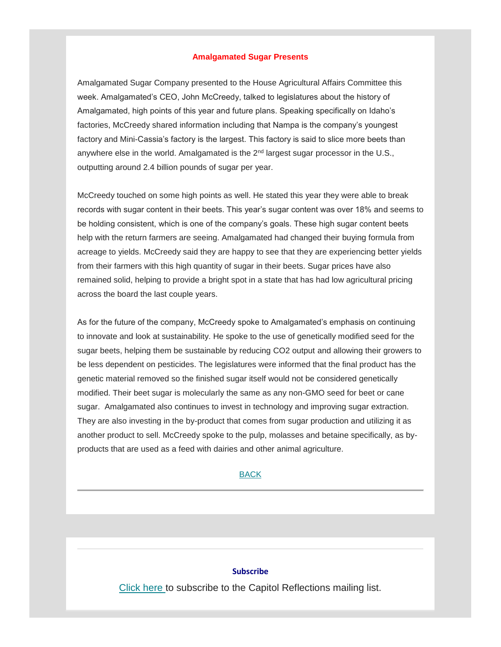#### **Amalgamated Sugar Presents**

<span id="page-10-0"></span>Amalgamated Sugar Company presented to the House Agricultural Affairs Committee this week. Amalgamated's CEO, John McCreedy, talked to legislatures about the history of Amalgamated, high points of this year and future plans. Speaking specifically on Idaho's factories, McCreedy shared information including that Nampa is the company's youngest factory and Mini-Cassia's factory is the largest. This factory is said to slice more beets than anywhere else in the world. Amalgamated is the  $2<sup>nd</sup>$  largest sugar processor in the U.S., outputting around 2.4 billion pounds of sugar per year.

McCreedy touched on some high points as well. He stated this year they were able to break records with sugar content in their beets. This year's sugar content was over 18% and seems to be holding consistent, which is one of the company's goals. These high sugar content beets help with the return farmers are seeing. Amalgamated had changed their buying formula from acreage to yields. McCreedy said they are happy to see that they are experiencing better yields from their farmers with this high quantity of sugar in their beets. Sugar prices have also remained solid, helping to provide a bright spot in a state that has had low agricultural pricing across the board the last couple years.

As for the future of the company, McCreedy spoke to Amalgamated's emphasis on continuing to innovate and look at sustainability. He spoke to the use of genetically modified seed for the sugar beets, helping them be sustainable by reducing CO2 output and allowing their growers to be less dependent on pesticides. The legislatures were informed that the final product has the genetic material removed so the finished sugar itself would not be considered genetically modified. Their beet sugar is molecularly the same as any non-GMO seed for beet or cane sugar. Amalgamated also continues to invest in technology and improving sugar extraction. They are also investing in the by-product that comes from sugar production and utilizing it as another product to sell. McCreedy spoke to the pulp, molasses and betaine specifically, as byproducts that are used as a feed with dairies and other animal agriculture.

#### [BACK](#page-0-1)

#### **Subscribe**

[Click here](mailto:ifbga@idahofb.org?subject=Subscription%3A%20Capitol%20Reflections&body=Hi%2C%0A%0APlease%20add%20me%20to%20your%20Capitol%20Reflections%20Newsletter%20email%20list.%0A%0AThank%20you!) to subscribe to the Capitol Reflections mailing list.